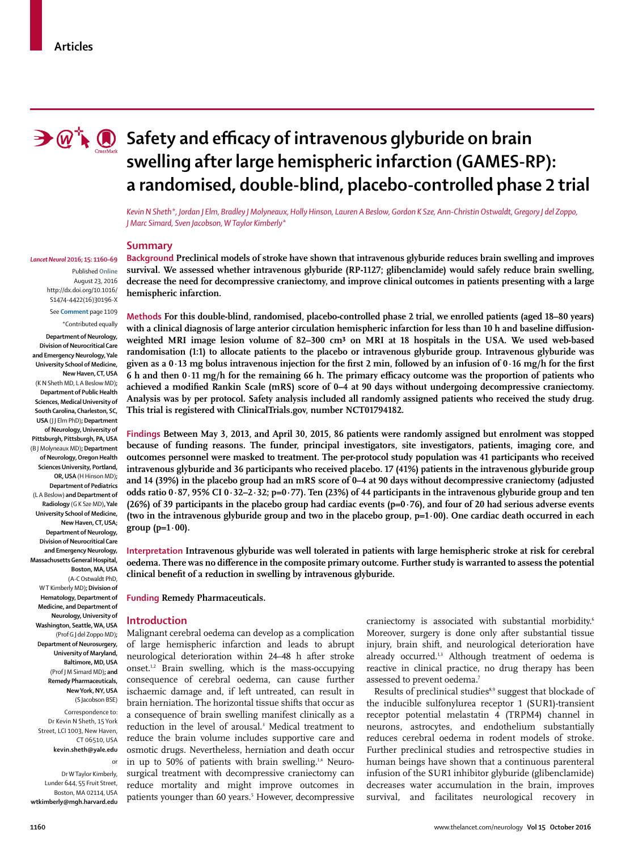

# **B**  $\mathbb{Q}$ <sup>\*</sup>  $\bullet$  Safety and efficacy of intravenous glyburide on brain **swelling after large hemispheric infarction (GAMES-RP): a randomised, double-blind, placebo-controlled phase 2 trial**

*Kevin N Sheth\*, Jordan J Elm, Bradley J Molyneaux, Holly Hinson, Lauren A Beslow, Gordon K Sze, Ann-Christin Ostwaldt, Gregory J del Zoppo, J Marc Simard, Sven Jacobson, W Taylor Kimberly\**

#### **Summary**

Published **Online** August 23, 2016 http://dx.doi.org/10.1016/ S1474-4422(16)30196-X

# See **Comment** page 1109

\*Contributed equally **Department of Neurology, Division of Neurocritical Care and Emergency Neurology, Yale University School of Medicine, New Haven, CT, USA**  (K N Sheth MD, L A Beslow MD)**; Department of Public Health Sciences, Medical University of South Carolina, Charleston, SC, USA** (J J Elm PhD)**; Department of Neurology, University of Pittsburgh, Pittsburgh, PA, USA** (B J Molyneaux MD)**; Department of Neurology, Oregon Health Sciences University, Portland, OR, USA** (H Hinson MD)**; Department of Pediatrics**  (L A Beslow) **and Department of Radiology** (G K Sze MD)**, Yale University School of Medicine, New Haven, CT, USA; Department of Neurology, Division of Neurocritical Care and Emergency Neurology, Massachusetts General Hospital, Boston, MA, USA** (A-C Ostwaldt PhD, W T Kimberly MD)**; Division of Hematology, Department of Medicine, and Department of Neurology, University of Washington, Seattle, WA, USA** (Prof G J del Zoppo MD)**; Department of Neurosurgery, University of Maryland, Baltimore, MD, USA** (Prof J M Simard MD)**; and Remedy Pharmaceuticals,** 

> **New York, NY, USA** (S Jacobson BSE)

Correspondence to: Dr Kevin N Sheth, 15 York Street, LCI 1003, New Haven CT 06510, USA

**kevin.sheth@yale.edu**

or

Dr W Taylor Kimberly, Lunder 644, 55 Fruit Street, Boston, MA 02114, USA **wtkimberly@mgh.harvard.edu**

*Lancet Neurol* **2016; 15: 1160–69 Background Preclinical models of stroke have shown that intravenous glyburide reduces brain swelling and improves survival. We assessed whether intravenous glyburide (RP-1127; glibenclamide) would safely reduce brain swelling, decrease the need for decompressive craniectomy, and improve clinical outcomes in patients presenting with a large hemispheric infarction.**

> **Methods For this double-blind, randomised, placebo-controlled phase 2 trial, we enrolled patients (aged 18–80 years)**  with a clinical diagnosis of large anterior circulation hemispheric infarction for less than 10 h and baseline diffusionweighted MRI image lesion volume of 82–300 cm<sup>3</sup> on MRI at 18 hospitals in the USA. We used web-based **randomisation (1:1) to allocate patients to the placebo or intravenous glyburide group. Intravenous glyburide was**  given as a  $0.13$  mg bolus intravenous injection for the first 2 min, followed by an infusion of  $0.16$  mg/h for the first 6 h and then 0·11 mg/h for the remaining 66 h. The primary efficacy outcome was the proportion of patients who achieved a modified Rankin Scale (mRS) score of 0–4 at 90 days without undergoing decompressive craniectomy. **Analysis was by per protocol. Safety analysis included all randomly assigned patients who received the study drug. This trial is registered with ClinicalTrials.gov, number NCT01794182.**

> **Findings Between May 3, 2013, and April 30, 2015, 86 patients were randomly assigned but enrolment was stopped because of funding reasons. The funder, principal investigators, site investigators, patients, imaging core, and outcomes personnel were masked to treatment. The per-protocol study population was 41 participants who received intravenous glyburide and 36 participants who received placebo. 17 (41%) patients in the intravenous glyburide group and 14 (39%) in the placebo group had an mRS score of 0–4 at 90 days without decompressive craniectomy (adjusted odds ratio 0·87, 95% CI 0·32–2·32; p=0·77). Ten (23%) of 44 participants in the intravenous glyburide group and ten (26%) of 39 participants in the placebo group had cardiac events (p=0·76), and four of 20 had serious adverse events (two in the intravenous glyburide group and two in the placebo group, p=1·00). One cardiac death occurred in each group (p=1·00).**

> **Interpretation Intravenous glyburide was well tolerated in patients with large hemispheric stroke at risk for cerebral oedema. There was no difference in the composite primary outcome. Further study is warranted to assess the potential**  clinical benefit of a reduction in swelling by intravenous glyburide.

**Funding Remedy Pharmaceuticals.**

#### **Introduction**

Malignant cerebral oedema can develop as a complication of large hemispheric infarction and leads to abrupt neurological deterioration within 24–48 h after stroke onset.1,2 Brain swelling, which is the mass-occupying consequence of cerebral oedema, can cause further ischaemic damage and, if left untreated, can result in brain herniation. The horizontal tissue shifts that occur as a consequence of brain swelling manifest clinically as a reduction in the level of arousal.3 Medical treatment to reduce the brain volume includes supportive care and osmotic drugs. Nevertheless, herniation and death occur in up to 50% of patients with brain swelling.<sup>1,4</sup> Neurosurgical treatment with decompressive craniectomy can reduce mortality and might improve outcomes in patients younger than 60 years.5 However, decompressive craniectomy is associated with substantial morbidity.<sup>6</sup> Moreover, surgery is done only after substantial tissue injury, brain shift, and neurological deterioration have already occurred.<sup>1,3</sup> Although treatment of oedema is reactive in clinical practice, no drug therapy has been assessed to prevent oedema.7

Results of preclinical studies8,9 suggest that blockade of the inducible sulfonylurea receptor 1 (SUR1)-transient receptor potential melastatin 4 (TRPM4) channel in neurons, astrocytes, and endothelium substantially reduces cerebral oedema in rodent models of stroke. Further preclinical studies and retrospective studies in human beings have shown that a continuous parenteral infusion of the SUR1 inhibitor glyburide (glibenclamide) decreases water accumulation in the brain, improves survival, and facilitates neurological recovery in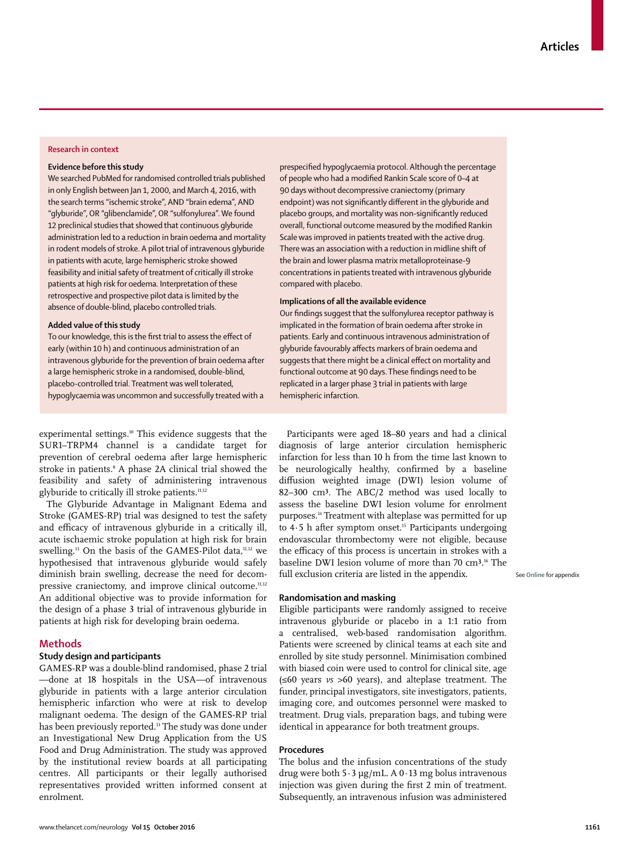# **Research in context**

## **Evidence before this study**

We searched PubMed for randomised controlled trials published in only English between Jan 1, 2000, and March 4, 2016, with the search terms "ischemic stroke", AND "brain edema", AND "glyburide", OR "glibenclamide", OR "sulfonylurea". We found 12 preclinical studies that showed that continuous glyburide administration led to a reduction in brain oedema and mortality in rodent models of stroke. A pilot trial of intravenous glyburide in patients with acute, large hemispheric stroke showed feasibility and initial safety of treatment of critically ill stroke patients at high risk for oedema. Interpretation of these retrospective and prospective pilot data is limited by the absence of double-blind, placebo controlled trials.

#### **Added value of this study**

To our knowledge, this is the first trial to assess the effect of early (within 10 h) and continuous administration of an intravenous glyburide for the prevention of brain oedema after a large hemispheric stroke in a randomised, double-blind, placebo-controlled trial. Treatment was well tolerated, hypoglycaemia was uncommon and successfully treated with a prespecified hypoglycaemia protocol. Although the percentage of people who had a modified Rankin Scale score of 0-4 at 90 days without decompressive craniectomy (primary endpoint) was not significantly different in the glyburide and placebo groups, and mortality was non-significantly reduced overall, functional outcome measured by the modified Rankin Scale was improved in patients treated with the active drug. There was an association with a reduction in midline shift of the brain and lower plasma matrix metalloproteinase-9 concentrations in patients treated with intravenous glyburide compared with placebo.

## **Implications of all the available evidence**

Our findings suggest that the sulfonylurea receptor pathway is implicated in the formation of brain oedema after stroke in patients. Early and continuous intravenous administration of glyburide favourably affects markers of brain oedema and suggests that there might be a clinical effect on mortality and functional outcome at 90 days. These findings need to be replicated in a larger phase 3 trial in patients with large hemispheric infarction.

experimental settings.<sup>10</sup> This evidence suggests that the SUR1–TRPM4 channel is a candidate target for prevention of cerebral oedema after large hemispheric stroke in patients.8 A phase 2A clinical trial showed the feasibility and safety of administering intravenous glyburide to critically ill stroke patients.<sup>11,12</sup>

The Glyburide Advantage in Malignant Edema and Stroke (GAMES-RP) trial was designed to test the safety and efficacy of intravenous glyburide in a critically ill, acute ischaemic stroke population at high risk for brain swelling.13 On the basis of the GAMES-Pilot data,11,12 we hypothesised that intravenous glyburide would safely diminish brain swelling, decrease the need for decompressive craniectomy, and improve clinical outcome.<sup>11,12</sup> An additional objective was to provide information for the design of a phase 3 trial of intravenous glyburide in patients at high risk for developing brain oedema.

# **Methods**

# **Study design and participants**

GAMES-RP was a double-blind randomised, phase 2 trial —done at 18 hospitals in the USA—of intravenous glyburide in patients with a large anterior circulation hemispheric infarction who were at risk to develop malignant oedema. The design of the GAMES-RP trial has been previously reported.<sup>13</sup> The study was done under an Investigational New Drug Application from the US Food and Drug Administration. The study was approved by the institutional review boards at all participating centres. All participants or their legally authorised representatives provided written informed consent at enrolment.

Participants were aged 18–80 years and had a clinical diagnosis of large anterior circulation hemispheric infarction for less than 10 h from the time last known to be neurologically healthy, confirmed by a baseline diffusion weighted image (DWI) lesion volume of 82-300 cm<sup>3</sup>. The ABC/2 method was used locally to assess the baseline DWI lesion volume for enrolment purposes.14 Treatment with alteplase was permitted for up to  $4.5$  h after symptom onset.<sup>15</sup> Participants undergoing endovascular thrombectomy were not eligible, because the efficacy of this process is uncertain in strokes with a baseline DWI lesion volume of more than 70 cm<sup>3</sup>.<sup>16</sup> The full exclusion criteria are listed in the appendix.

See **Online** for appendix

# **Randomisation and masking**

Eligible participants were randomly assigned to receive intravenous glyburide or placebo in a 1:1 ratio from a centralised, web-based randomisation algorithm. Patients were screened by clinical teams at each site and enrolled by site study personnel. Minimisation combined with biased coin were used to control for clinical site, age (≤60 years *vs* >60 years), and alteplase treatment. The funder, principal investigators, site investigators, patients, imaging core, and outcomes personnel were masked to treatment. Drug vials, preparation bags, and tubing were identical in appearance for both treatment groups.

# **Procedures**

The bolus and the infusion concentrations of the study drug were both 5·3 μg/mL. A 0·13 mg bolus intravenous injection was given during the first 2 min of treatment. Subsequently, an intravenous infusion was administered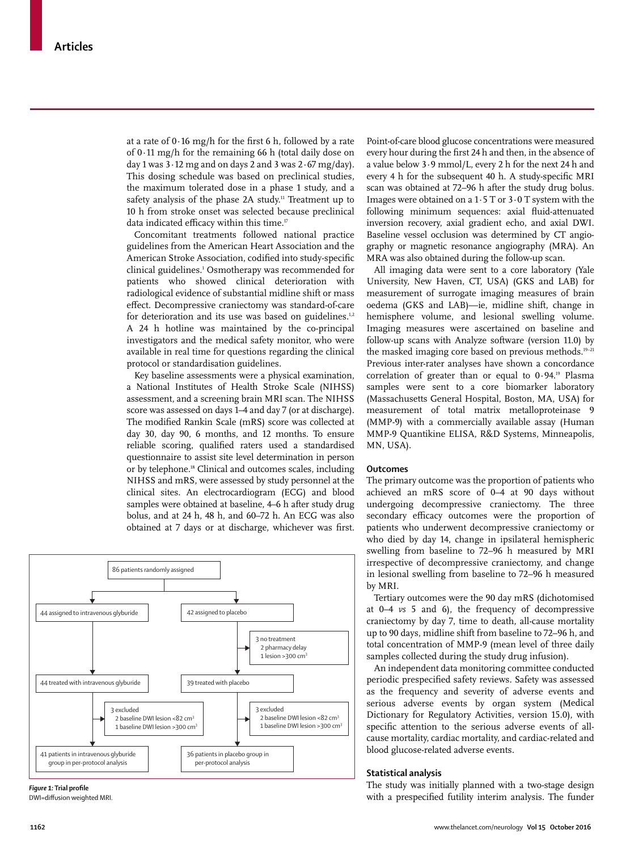at a rate of  $0.16$  mg/h for the first 6 h, followed by a rate of 0·11 mg/h for the remaining 66 h (total daily dose on day 1 was  $3 \cdot 12$  mg and on days 2 and 3 was  $2 \cdot 67$  mg/day). This dosing schedule was based on preclinical studies, the maximum tolerated dose in a phase 1 study, and a safety analysis of the phase 2A study.<sup>11</sup> Treatment up to 10 h from stroke onset was selected because preclinical data indicated efficacy within this time.<sup>17</sup>

Concomitant treatments followed national practice guidelines from the American Heart Association and the American Stroke Association, codified into study-specific clinical guidelines.1 Osmotherapy was recommended for patients who showed clinical deterioration with radiological evidence of substantial midline shift or mass effect. Decompressive craniectomy was standard-of-care for deterioration and its use was based on guidelines.<sup>1,2</sup> A 24 h hotline was maintained by the co-principal investigators and the medical safety monitor, who were available in real time for questions regarding the clinical protocol or standardisation guidelines.

Key baseline assessments were a physical examination, a National Institutes of Health Stroke Scale (NIHSS) assessment, and a screening brain MRI scan. The NIHSS score was assessed on days 1–4 and day 7 (or at discharge). The modified Rankin Scale (mRS) score was collected at day 30, day 90, 6 months, and 12 months. To ensure reliable scoring, qualified raters used a standardised questionnaire to assist site level determination in person or by telephone.<sup>18</sup> Clinical and outcomes scales, including NIHSS and mRS, were assessed by study personnel at the clinical sites. An electrocardiogram (ECG) and blood samples were obtained at baseline, 4–6 h after study drug bolus, and at 24 h, 48 h, and 60–72 h. An ECG was also obtained at 7 days or at discharge, whichever was first.





DWI=diffusion weighted MRI

Point-of-care blood glucose concentrations were measured every hour during the first 24 h and then, in the absence of a value below 3·9 mmol/L, every 2 h for the next 24 h and every 4 h for the subsequent 40 h. A study-specific MRI scan was obtained at 72–96 h after the study drug bolus. Images were obtained on a  $1.5$  T or  $3.0$  T system with the following minimum sequences: axial fluid-attenuated inversion recovery, axial gradient echo, and axial DWI. Baseline vessel occlusion was determined by CT angiography or magnetic resonance angiography (MRA). An MRA was also obtained during the follow-up scan.

All imaging data were sent to a core laboratory (Yale University, New Haven, CT, USA) (GKS and LAB) for measurement of surrogate imaging measures of brain oedema (GKS and LAB)—ie, midline shift, change in hemisphere volume, and lesional swelling volume. Imaging measures were ascertained on baseline and follow-up scans with Analyze software (version 11.0) by the masked imaging core based on previous methods.<sup>19-21</sup> Previous inter-rater analyses have shown a concordance correlation of greater than or equal to 0·94.19 Plasma samples were sent to a core biomarker laboratory (Massachusetts General Hospital, Boston, MA, USA) for measurement of total matrix metalloproteinase 9 (MMP-9) with a commercially available assay (Human MMP-9 Quantikine ELISA, R&D Systems, Minneapolis, MN, USA).

# **Outcomes**

The primary outcome was the proportion of patients who achieved an mRS score of 0–4 at 90 days without undergoing decompressive craniectomy. The three secondary efficacy outcomes were the proportion of patients who underwent decompressive craniectomy or who died by day 14, change in ipsilateral hemispheric swelling from baseline to 72–96 h measured by MRI irrespective of decompressive craniectomy, and change in lesional swelling from baseline to 72–96 h measured by MRI.

Tertiary outcomes were the 90 day mRS (dichotomised at 0–4 *vs* 5 and 6), the frequency of decompressive craniectomy by day 7, time to death, all-cause mortality up to 90 days, midline shift from baseline to 72–96 h, and total concentration of MMP-9 (mean level of three daily samples collected during the study drug infusion).

An independent data monitoring committee conducted periodic prespecified safety reviews. Safety was assessed as the frequency and severity of adverse events and serious adverse events by organ system (Medical Dictionary for Regulatory Activities, version 15.0), with specific attention to the serious adverse events of allcause mortality, cardiac mortality, and cardiac-related and blood glucose-related adverse events.

## **Statistical analysis**

The study was initially planned with a two-stage design with a prespecified futility interim analysis. The funder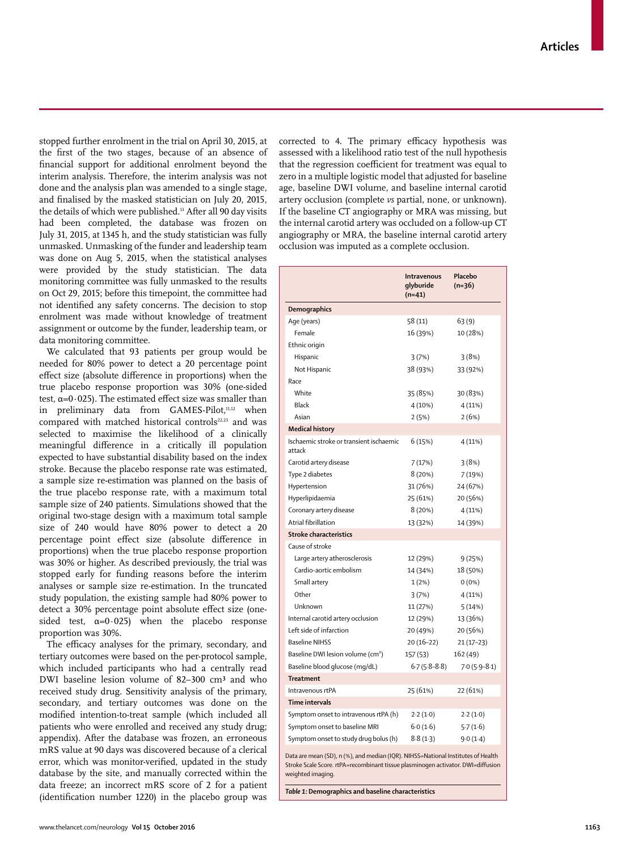stopped further enrolment in the trial on April 30, 2015, at the first of the two stages, because of an absence of financial support for additional enrolment beyond the interim analysis. Therefore, the interim analysis was not done and the analysis plan was amended to a single stage, and finalised by the masked statistician on July 20, 2015, the details of which were published.<sup>13</sup> After all 90 day visits had been completed, the database was frozen on July 31, 2015, at 1345 h, and the study statistician was fully unmasked. Unmasking of the funder and leadership team was done on Aug 5, 2015, when the statistical analyses were provided by the study statistician. The data monitoring committee was fully unmasked to the results on Oct 29, 2015; before this timepoint, the committee had not identified any safety concerns. The decision to stop enrolment was made without knowledge of treatment assignment or outcome by the funder, leadership team, or data monitoring committee.

We calculated that 93 patients per group would be needed for 80% power to detect a 20 percentage point effect size (absolute difference in proportions) when the true placebo response proportion was 30% (one-sided test,  $α=0.025$ ). The estimated effect size was smaller than in preliminary data from GAMES-Pilot,<sup>11,12</sup> when compared with matched historical controls<sup>22,23</sup> and was selected to maximise the likelihood of a clinically meaningful difference in a critically ill population expected to have substantial disability based on the index stroke. Because the placebo response rate was estimated, a sample size re-estimation was planned on the basis of the true placebo response rate, with a maximum total sample size of 240 patients. Simulations showed that the original two-stage design with a maximum total sample size of 240 would have 80% power to detect a 20 percentage point effect size (absolute difference in proportions) when the true placebo response proportion was 30% or higher. As described previously, the trial was stopped early for funding reasons before the interim analyses or sample size re-estimation. In the truncated study population, the existing sample had 80% power to detect a 30% percentage point absolute effect size (onesided test,  $\alpha=0.025$ ) when the placebo response proportion was 30%.

The efficacy analyses for the primary, secondary, and tertiary outcomes were based on the per-protocol sample, which included participants who had a centrally read DWI baseline lesion volume of 82-300 cm<sup>3</sup> and who received study drug. Sensitivity analysis of the primary, secondary, and tertiary outcomes was done on the modified intention-to-treat sample (which included all patients who were enrolled and received any study drug; appendix). After the database was frozen, an erroneous mRS value at 90 days was discovered because of a clerical error, which was monitor-verified, updated in the study database by the site, and manually corrected within the data freeze; an incorrect mRS score of 2 for a patient (identification number  $1220$ ) in the placebo group was

corrected to 4. The primary efficacy hypothesis was assessed with a likelihood ratio test of the null hypothesis that the regression coefficient for treatment was equal to zero in a multiple logistic model that adjusted for baseline age, baseline DWI volume, and baseline internal carotid artery occlusion (complete *vs* partial, none, or unknown). If the baseline CT angiography or MRA was missing, but the internal carotid artery was occluded on a follow-up CT angiography or MRA, the baseline internal carotid artery occlusion was imputed as a complete occlusion.

|                                                                                  | Intravenous<br>glyburide<br>$(n=41)$ | Placebo<br>(n=36) |  |  |  |
|----------------------------------------------------------------------------------|--------------------------------------|-------------------|--|--|--|
| Demographics                                                                     |                                      |                   |  |  |  |
| Age (years)                                                                      | 58 (11)                              | 63(9)             |  |  |  |
| Female                                                                           | 16 (39%)                             | 10 (28%)          |  |  |  |
| Ethnic origin                                                                    |                                      |                   |  |  |  |
| Hispanic                                                                         | 3(7%)                                | 3(8%)             |  |  |  |
| Not Hispanic                                                                     | 38 (93%)                             | 33 (92%)          |  |  |  |
| Race                                                                             |                                      |                   |  |  |  |
| White                                                                            | 35 (85%)                             | 30 (83%)          |  |  |  |
| Black                                                                            | 4 (10%)                              | 4(11%)            |  |  |  |
| Asian                                                                            | 2(5%)                                | 2(6%)             |  |  |  |
| <b>Medical history</b>                                                           |                                      |                   |  |  |  |
| Ischaemic stroke or transient ischaemic<br>attack                                | 6 (15%)                              | 4 (11%)           |  |  |  |
| Carotid artery disease                                                           | 7 (17%)                              | 3(8%)             |  |  |  |
| Type 2 diabetes                                                                  | 8 (20%)                              | 7(19%)            |  |  |  |
| Hypertension                                                                     | 31 (76%)                             | 24 (67%)          |  |  |  |
| Hyperlipidaemia                                                                  | 25 (61%)                             | 20 (56%)          |  |  |  |
| Coronary artery disease                                                          | 8 (20%)                              | 4(11%)            |  |  |  |
| Atrial fibrillation                                                              | 13 (32%)                             | 14 (39%)          |  |  |  |
| <b>Stroke characteristics</b>                                                    |                                      |                   |  |  |  |
| Cause of stroke                                                                  |                                      |                   |  |  |  |
| Large artery atherosclerosis                                                     | 12 (29%)                             | 9(25%)            |  |  |  |
| Cardio-aortic embolism                                                           | 14 (34%)                             | 18 (50%)          |  |  |  |
| Small artery                                                                     | $1(2\%)$                             | $0(0\%)$          |  |  |  |
| Other                                                                            | 3(7%)                                | 4(11%)            |  |  |  |
| Unknown                                                                          | 11 (27%)                             | 5(14%)            |  |  |  |
| Internal carotid artery occlusion                                                | 12 (29%)                             | 13 (36%)          |  |  |  |
| Left side of infarction                                                          | 20 (49%)                             | 20 (56%)          |  |  |  |
| <b>Baseline NIHSS</b>                                                            | $20(16-22)$                          | $21(17-23)$       |  |  |  |
| Baseline DWI lesion volume (cm <sup>3</sup> )                                    | 157 (53)                             | 162 (49)          |  |  |  |
| Baseline blood glucose (mg/dL)                                                   | $6.7(5.8-8.8)$                       | $7.0(5.9-8.1)$    |  |  |  |
| <b>Treatment</b>                                                                 |                                      |                   |  |  |  |
| Intravenous rtPA                                                                 | 25 (61%)                             | 22 (61%)          |  |  |  |
| Time intervals                                                                   |                                      |                   |  |  |  |
| Symptom onset to intravenous rtPA (h)                                            | 2.2(1.0)                             | 2.2(1.0)          |  |  |  |
| Symptom onset to baseline MRI                                                    | 6.0(1.6)                             | 5.7(1.6)          |  |  |  |
| Symptom onset to study drug bolus (h)                                            | 8.8(1.3)                             | 9.0(1.4)          |  |  |  |
| Data are mean (SD), n (%), and median (IQR). NIHSS=National Institutes of Health |                                      |                   |  |  |  |

Stroke Scale Score. rtPA=recombinant tissue plasminogen activator. DWI=diffusion weighted imaging

*Table 1:* **Demographics and baseline characteristics**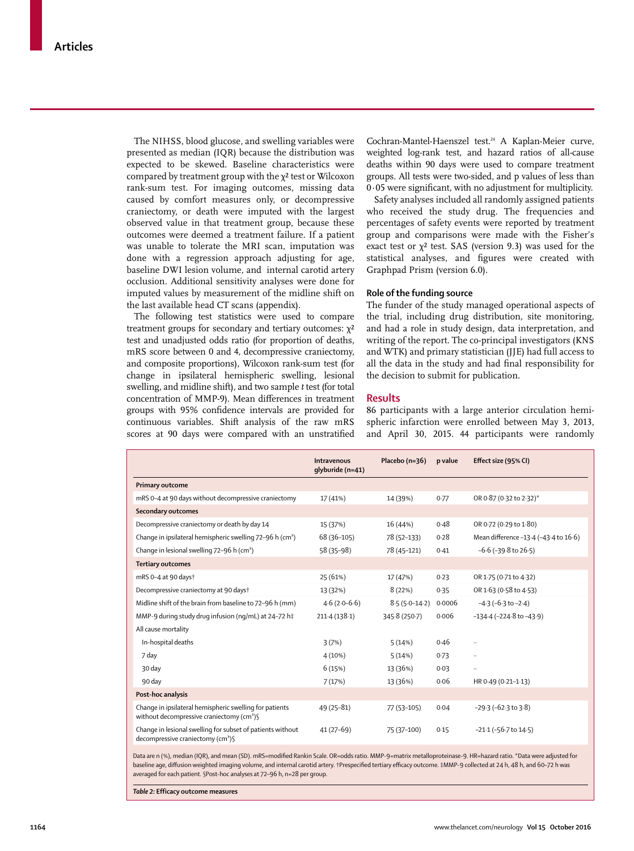The NIHSS, blood glucose, and swelling variables were presented as median (IQR) because the distribution was expected to be skewed. Baseline characteristics were compared by treatment group with the χ² test or Wilcoxon rank-sum test. For imaging outcomes, missing data caused by comfort measures only, or decompressive craniectomy, or death were imputed with the largest observed value in that treatment group, because these outcomes were deemed a treatment failure. If a patient was unable to tolerate the MRI scan, imputation was done with a regression approach adjusting for age, baseline DWI lesion volume, and internal carotid artery occlusion. Additional sensitivity analyses were done for imputed values by measurement of the midline shift on the last available head CT scans (appendix).

The following test statistics were used to compare treatment groups for secondary and tertiary outcomes:  $\chi^2$ test and unadjusted odds ratio (for proportion of deaths, mRS score between 0 and 4, decompressive craniectomy, and composite proportions), Wilcoxon rank-sum test (for change in ipsilateral hemispheric swelling, lesional swelling, and midline shift), and two sample *t* test (for total concentration of MMP-9). Mean differences in treatment groups with 95% confidence intervals are provided for continuous variables. Shift analysis of the raw mRS scores at 90 days were compared with an unstratified Cochran-Mantel-Haenszel test.24 A Kaplan-Meier curve, weighted log-rank test, and hazard ratios of all-cause deaths within 90 days were used to compare treatment groups. All tests were two-sided, and p values of less than 0·05 were significant, with no adjustment for multiplicity.

Safety analyses included all randomly assigned patients who received the study drug. The frequencies and percentages of safety events were reported by treatment group and comparisons were made with the Fisher's exact test or  $\chi^2$  test. SAS (version 9.3) was used for the statistical analyses, and figures were created with Graphpad Prism (version 6.0).

# **Role of the funding source**

The funder of the study managed operational aspects of the trial, including drug distribution, site monitoring, and had a role in study design, data interpretation, and writing of the report. The co-principal investigators (KNS and WTK) and primary statistician (JJE) had full access to all the data in the study and had final responsibility for the decision to submit for publication.

## **Results**

86 participants with a large anterior circulation hemispheric infarction were enrolled between May 3, 2013, and April 30, 2015. 44 participants were randomly

|                                                                                                                   | Intravenous<br>qlyburide (n=41) | Placebo (n=36)  | p value | Effect size (95% CI)                  |
|-------------------------------------------------------------------------------------------------------------------|---------------------------------|-----------------|---------|---------------------------------------|
| <b>Primary outcome</b>                                                                                            |                                 |                 |         |                                       |
| mRS 0-4 at 90 days without decompressive craniectomy                                                              | 17 (41%)                        | 14 (39%)        | 0.77    | OR 0.87 (0.32 to 2.32)*               |
| <b>Secondary outcomes</b>                                                                                         |                                 |                 |         |                                       |
| Decompressive craniectomy or death by day 14                                                                      | 15 (37%)                        | 16 (44%)        | 0.48    | OR 0.72 (0.29 to 1.80)                |
| Change in ipsilateral hemispheric swelling 72-96 h (cm <sup>3</sup> )                                             | 68 (36-105)                     | 78 (52-133)     | 0.28    | Mean difference -13.4 (-43.4 to 16.6) |
| Change in lesional swelling 72-96 h (cm <sup>3</sup> )                                                            | 58 (35-98)                      | 78 (45-121)     | 0.41    | $-6.6$ ( $-39.8$ to $26.5$ )          |
| <b>Tertiary outcomes</b>                                                                                          |                                 |                 |         |                                       |
| mRS 0-4 at 90 days†                                                                                               | 25 (61%)                        | 17 (47%)        | 0.23    | OR 1.75 (0.71 to 4.32)                |
| Decompressive craniectomy at 90 days†                                                                             | 13 (32%)                        | 8(22%)          | 0.35    | OR 1.63 (0.58 to 4.53)                |
| Midline shift of the brain from baseline to 72-96 h (mm)                                                          | $4.6(2.0-6.6)$                  | $8.5(5.0-14.2)$ | 0.0006  | $-4.3(-6.3 \text{ to } -2.4)$         |
| MMP-9 during study drug infusion (ng/mL) at 24-72 h‡                                                              | 211.4(138.1)                    | 345.8 (250.7)   | 0.006   | $-134.4$ ( $-224.8$ to $-43.9$ )      |
| All cause mortality                                                                                               |                                 |                 |         |                                       |
| In-hospital deaths                                                                                                | 3(7%)                           | 5(14%)          | 0.46    |                                       |
| 7 day                                                                                                             | 4(10%)                          | 5(14%)          | 0.73    |                                       |
| 30 day                                                                                                            | 6(15%)                          | 13 (36%)        | 0.03    |                                       |
| 90 day                                                                                                            | 7(17%)                          | 13 (36%)        | 0.06    | HR 0.49 (0.21-1.13)                   |
| Post-hoc analysis                                                                                                 |                                 |                 |         |                                       |
| Change in ipsilateral hemispheric swelling for patients<br>without decompressive craniectomy (cm <sup>3</sup> ) § | 49 (25-81)                      | 77 (53-105)     | 0.04    | $-29.3(-62.3 \text{ to } 3.8)$        |
| Change in lesional swelling for subset of patients without<br>decompressive craniectomy (cm <sup>3</sup> )        | $41(27-69)$                     | 75 (37-100)     | 0.15    | $-21.1$ ( $-56.7$ to $14.5$ )         |

Data are n (%), median (IQR), and mean (SD). mRS=modified Rankin Scale. OR=odds ratio. MMP-9=matrix metalloproteinase-9. HR=hazard ratio. \*Data were adjusted for baseline age, diffusion weighted imaging volume, and internal carotid artery. †Prespecified tertiary efficacy outcome. ‡MMP-9 collected at 24 h, 48 h, and 60-72 h was averaged for each patient. §Post-hoc analyses at 72–96 h, n=28 per group.

*Table 2:* **Efficacy outcome measures**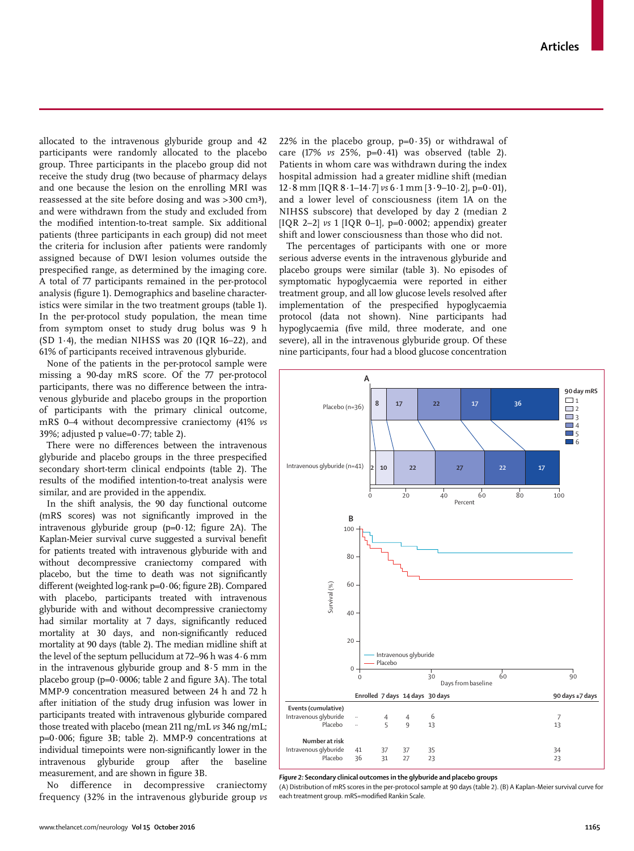allocated to the intravenous glyburide group and 42 participants were randomly allocated to the placebo group. Three participants in the placebo group did not receive the study drug (two because of pharmacy delays and one because the lesion on the enrolling MRI was reassessed at the site before dosing and was >300 cm<sup>3</sup>), and were withdrawn from the study and excluded from the modified intention-to-treat sample. Six additional patients (three participants in each group) did not meet the criteria for inclusion after patients were randomly assigned because of DWI lesion volumes outside the prespecified range, as determined by the imaging core. A total of 77 participants remained in the per-protocol analysis (figure 1). Demographics and baseline characteristics were similar in the two treatment groups (table 1). In the per-protocol study population, the mean time from symptom onset to study drug bolus was 9 h (SD 1·4), the median NIHSS was 20 (IQR 16–22), and 61% of participants received intravenous glyburide.

None of the patients in the per-protocol sample were missing a 90-day mRS score. Of the 77 per-protocol participants, there was no difference between the intravenous glyburide and placebo groups in the proportion of participants with the primary clinical outcome, mRS 0–4 without decompressive craniectomy (41% *vs* 39%; adjusted p value=0·77; table 2).

There were no differences between the intravenous glyburide and placebo groups in the three prespecified secondary short-term clinical endpoints (table 2). The results of the modified intention-to-treat analysis were similar, and are provided in the appendix.

In the shift analysis, the 90 day functional outcome (mRS scores) was not significantly improved in the intravenous glyburide group  $(p=0.12;$  figure 2A). The Kaplan-Meier survival curve suggested a survival benefit for patients treated with intravenous glyburide with and without decompressive craniectomy compared with placebo, but the time to death was not significantly different (weighted  $log$ -rank p=0 $\cdot$ 06; figure 2B). Compared with placebo, participants treated with intravenous glyburide with and without decompressive craniectomy had similar mortality at 7 days, significantly reduced mortality at 30 days, and non-significantly reduced mortality at 90 days (table 2). The median midline shift at the level of the septum pellucidum at 72–96 h was 4·6 mm in the intravenous glyburide group and 8·5 mm in the placebo group ( $p=0.0006$ ; table 2 and figure 3A). The total MMP-9 concentration measured between 24 h and 72 h after initiation of the study drug infusion was lower in participants treated with intravenous glyburide compared those treated with placebo (mean 211 ng/mL *vs* 346 ng/mL;  $p=0.006$ ; figure 3B; table 2). MMP-9 concentrations at individual timepoints were non-significantly lower in the intravenous glyburide group after the baseline measurement, and are shown in figure 3B.

No difference in decompressive craniectomy frequency (32% in the intravenous glyburide group *vs* 22% in the placebo group,  $p=0.35$  or withdrawal of care (17% *vs* 25%, p=0·41) was observed (table 2). Patients in whom care was withdrawn during the index hospital admission had a greater midline shift (median  $12.8$  mm [IQR  $8.1-14.7$ ] *vs*  $6.1$  mm  $[3.9-10.2]$ ,  $p=0.01$ ), and a lower level of consciousness (item 1A on the NIHSS subscore) that developed by day 2 (median 2 [IQR 2–2] *vs* 1 [IQR 0–1], p=0·0002; appendix) greater shift and lower consciousness than those who did not.

The percentages of participants with one or more serious adverse events in the intravenous glyburide and placebo groups were similar (table 3). No episodes of symptomatic hypoglycaemia were reported in either treatment group, and all low glucose levels resolved after implementation of the prespecified hypoglycaemia protocol (data not shown). Nine participants had hypoglycaemia (five mild, three moderate, and one severe), all in the intravenous glyburide group. Of these nine participants, four had a blood glucose concentration



*Figure 2:* **Secondary clinical outcomes in the glyburide and placebo groups**

(A) Distribution of mRS scores in the per-protocol sample at 90 days (table 2). (B) A Kaplan-Meier survival curve for each treatment group. mRS=modified Rankin Scale.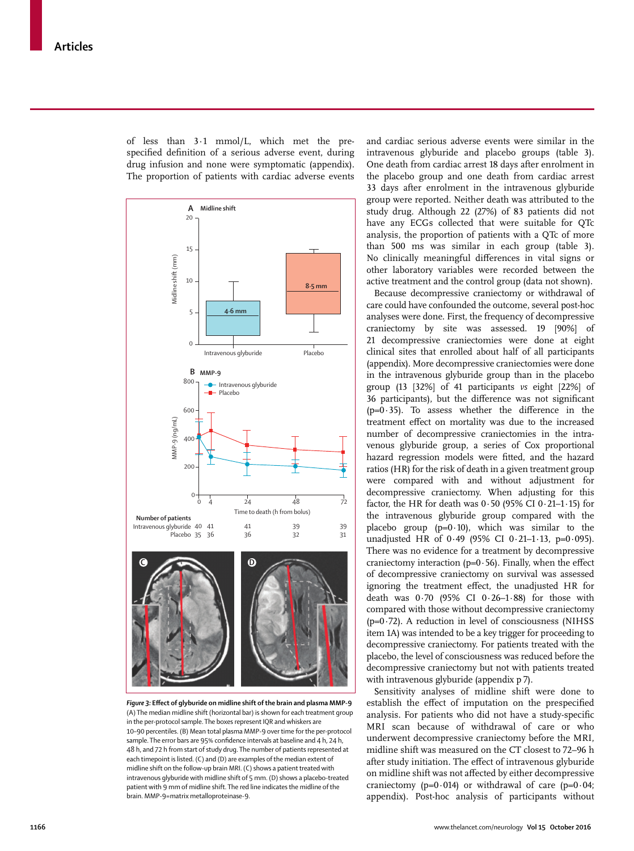of less than 3·1 mmol/L, which met the prespecified definition of a serious adverse event, during drug infusion and none were symptomatic (appendix). The proportion of patients with cardiac adverse events



*Figure 3:* **Eff ect of glyburide on midline shift of the brain and plasma MMP-9** (A) The median midline shift (horizontal bar) is shown for each treatment group in the per-protocol sample. The boxes represent IQR and whiskers are 10–90 percentiles. (B) Mean total plasma MMP-9 over time for the per-protocol sample. The error bars are 95% confidence intervals at baseline and 4 h, 24 h, 48 h, and 72 h from start of study drug. The number of patients represented at each timepoint is listed. (C) and (D) are examples of the median extent of midline shift on the follow-up brain MRI. (C) shows a patient treated with intravenous glyburide with midline shift of 5 mm. (D) shows a placebo-treated patient with 9 mm of midline shift. The red line indicates the midline of the

and cardiac serious adverse events were similar in the intravenous glyburide and placebo groups (table 3). One death from cardiac arrest 18 days after enrolment in the placebo group and one death from cardiac arrest 33 days after enrolment in the intravenous glyburide group were reported. Neither death was attributed to the study drug. Although 22 (27%) of 83 patients did not have any ECGs collected that were suitable for QTc analysis, the proportion of patients with a QTc of more than 500 ms was similar in each group (table 3). No clinically meaningful differences in vital signs or other laboratory variables were recorded between the active treatment and the control group (data not shown).

Because decompressive craniectomy or withdrawal of care could have confounded the outcome, several post-hoc analyses were done. First, the frequency of decompressive craniectomy by site was assessed. 19 [90%] of 21 decompressive craniectomies were done at eight clinical sites that enrolled about half of all participants (appendix). More decompressive craniectomies were done in the intravenous glyburide group than in the placebo group (13 [32%] of 41 participants *vs* eight [22%] of 36 participants), but the difference was not significant ( $p=0.35$ ). To assess whether the difference in the treatment effect on mortality was due to the increased number of decompressive craniectomies in the intravenous glyburide group, a series of Cox proportional hazard regression models were fitted, and the hazard ratios (HR) for the risk of death in a given treatment group were compared with and without adjustment for decompressive craniectomy. When adjusting for this factor, the HR for death was  $0.50$  (95% CI  $0.21$ –1 $\cdot$ 15) for the intravenous glyburide group compared with the placebo group ( $p=0.10$ ), which was similar to the unadjusted HR of 0·49 (95% CI 0·21–1·13, p=0·095). There was no evidence for a treatment by decompressive craniectomy interaction (p= $0.56$ ). Finally, when the effect of decompressive craniectomy on survival was assessed ignoring the treatment effect, the unadjusted HR for death was  $0.70$  (95% CI  $0.26-1.88$ ) for those with compared with those without decompressive craniectomy  $(p=0.72)$ . A reduction in level of consciousness (NIHSS item 1A) was intended to be a key trigger for proceeding to decompressive craniectomy. For patients treated with the placebo, the level of consciousness was reduced before the decompressive craniectomy but not with patients treated with intravenous glyburide (appendix p 7).

Sensitivity analyses of midline shift were done to establish the effect of imputation on the prespecified analysis. For patients who did not have a study-specific MRI scan because of withdrawal of care or who underwent decompressive craniectomy before the MRI, midline shift was measured on the CT closest to 72–96 h after study initiation. The effect of intravenous glyburide on midline shift was not affected by either decompressive craniectomy ( $p=0.014$ ) or withdrawal of care ( $p=0.04$ ; appendix). Post-hoc analysis of participants without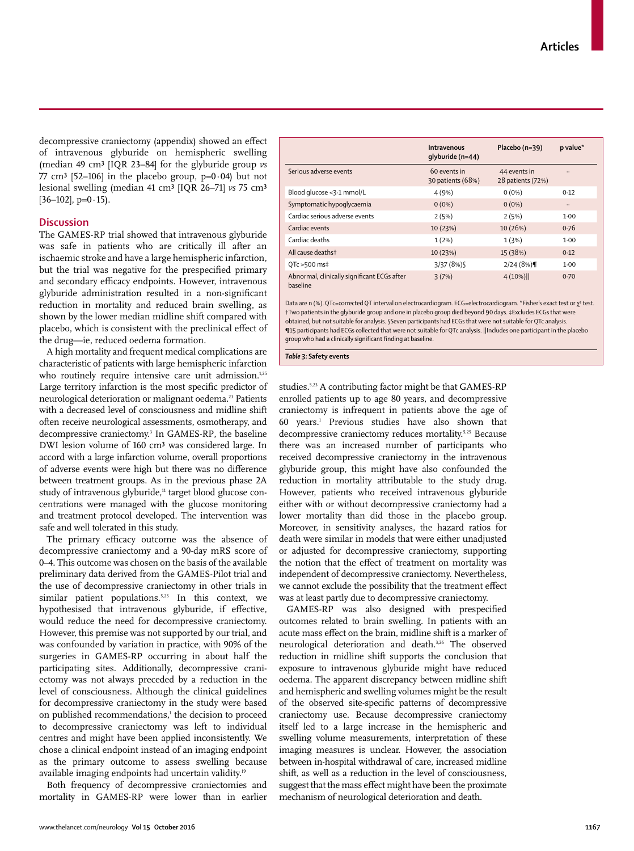decompressive craniectomy (appendix) showed an effect of intravenous glyburide on hemispheric swelling (median 49 cm³ [IQR 23–84] for the glyburide group *vs*  $77 \text{ cm}^3$  [52–106] in the placebo group, p=0·04) but not lesional swelling (median 41 cm³ [IQR 26–71] *vs* 75 cm³  $[36-102]$ , p=0 $\cdot$ 15).

# **Discussion**

The GAMES-RP trial showed that intravenous glyburide was safe in patients who are critically ill after an ischaemic stroke and have a large hemispheric infarction, but the trial was negative for the prespecified primary and secondary efficacy endpoints. However, intravenous glyburide administration resulted in a non-significant reduction in mortality and reduced brain swelling, as shown by the lower median midline shift compared with placebo, which is consistent with the preclinical effect of the drug—ie, reduced oedema formation.

A high mortality and frequent medical complications are characteristic of patients with large hemispheric infarction who routinely require intensive care unit admission.<sup>1,25</sup> Large territory infarction is the most specific predictor of neurological deterioration or malignant oedema.<sup>23</sup> Patients with a decreased level of consciousness and midline shift often receive neurological assessments, osmotherapy, and decompressive craniectomy.<sup>3</sup> In GAMES-RP, the baseline DWI lesion volume of 160 cm<sup>3</sup> was considered large. In accord with a large infarction volume, overall proportions of adverse events were high but there was no difference between treatment groups. As in the previous phase 2A study of intravenous glyburide,<sup>11</sup> target blood glucose concentrations were managed with the glucose monitoring and treatment protocol developed. The intervention was safe and well tolerated in this study.

The primary efficacy outcome was the absence of decompressive craniectomy and a 90-day mRS score of 0–4. This outcome was chosen on the basis of the available preliminary data derived from the GAMES-Pilot trial and the use of decompressive craniectomy in other trials in similar patient populations.<sup>5,25</sup> In this context, we hypothesised that intravenous glyburide, if effective, would reduce the need for decompressive craniectomy. However, this premise was not supported by our trial, and was confounded by variation in practice, with 90% of the surgeries in GAMES-RP occurring in about half the participating sites. Additionally, decompressive craniectomy was not always preceded by a reduction in the level of consciousness. Although the clinical guidelines for decompressive craniectomy in the study were based on published recommendations,<sup>1</sup> the decision to proceed to decompressive craniectomy was left to individual centres and might have been applied inconsistently. We chose a clinical endpoint instead of an imaging endpoint as the primary outcome to assess swelling because available imaging endpoints had uncertain validity.19

Both frequency of decompressive craniectomies and mortality in GAMES-RP were lower than in earlier

|                                                         | Intravenous<br>qlyburide (n=44)   | Placebo (n=39)                    | p value* |
|---------------------------------------------------------|-----------------------------------|-----------------------------------|----------|
| Serious adverse events                                  | 60 events in<br>30 patients (68%) | 44 events in<br>28 patients (72%) |          |
| Blood glucose <3.1 mmol/L                               | 4(9%)                             | $0(0\%)$                          | 0.12     |
| Symptomatic hypoglycaemia                               | $0(0\%)$                          | $0(0\%)$                          |          |
| Cardiac serious adverse events                          | 2(5%)                             | 2(5%)                             | 1.00     |
| Cardiac events                                          | 10 (23%)                          | 10(26%)                           | 0.76     |
| Cardiac deaths                                          | 1(2%)                             | 1(3%)                             | 1.00     |
| All cause deathst                                       | 10 (23%)                          | 15 (38%)                          | 0.12     |
| OTc >500 ms‡                                            | 3/37(8%)                          | 2/24(8%)                          | 1.00     |
| Abnormal, clinically significant ECGs after<br>baseline | 3(7%)                             | 4(10%)                            | 0.70     |

Data are n (%). QTc=corrected QT interval on electrocardiogram. ECG=electrocardiogram. \*Fisher's exact test or χ<sup>2</sup> test. †Two patients in the glyburide group and one in placebo group died beyond 90 days. ‡Excludes ECGs that were obtained, but not suitable for analysis. §Seven participants had ECGs that were not suitable for QTc analysis. ¶15 participants had ECGs collected that were not suitable for QTc analysis. ||Includes one participant in the placebo group who had a clinically significant finding at baseline.

*Table 3:* **Safety events**

studies.5,23 A contributing factor might be that GAMES-RP enrolled patients up to age 80 years, and decompressive craniectomy is infrequent in patients above the age of 60 years.1 Previous studies have also shown that decompressive craniectomy reduces mortality.5,25 Because there was an increased number of participants who received decompressive craniectomy in the intravenous glyburide group, this might have also confounded the reduction in mortality attributable to the study drug. However, patients who received intravenous glyburide either with or without decompressive craniectomy had a lower mortality than did those in the placebo group. Moreover, in sensitivity analyses, the hazard ratios for death were similar in models that were either unadjusted or adjusted for decompressive craniectomy, supporting the notion that the effect of treatment on mortality was independent of decompressive craniectomy. Nevertheless, we cannot exclude the possibility that the treatment effect was at least partly due to decompressive craniectomy.

GAMES-RP was also designed with prespecified outcomes related to brain swelling. In patients with an acute mass effect on the brain, midline shift is a marker of neurological deterioration and death.3,26 The observed reduction in midline shift supports the conclusion that exposure to intravenous glyburide might have reduced oedema. The apparent discrepancy between midline shift and hemispheric and swelling volumes might be the result of the observed site-specific patterns of decompressive craniectomy use. Because decompressive craniectomy itself led to a large increase in the hemispheric and swelling volume measurements, interpretation of these imaging measures is unclear. However, the association between in-hospital withdrawal of care, increased midline shift, as well as a reduction in the level of consciousness, suggest that the mass effect might have been the proximate mechanism of neurological deterioration and death.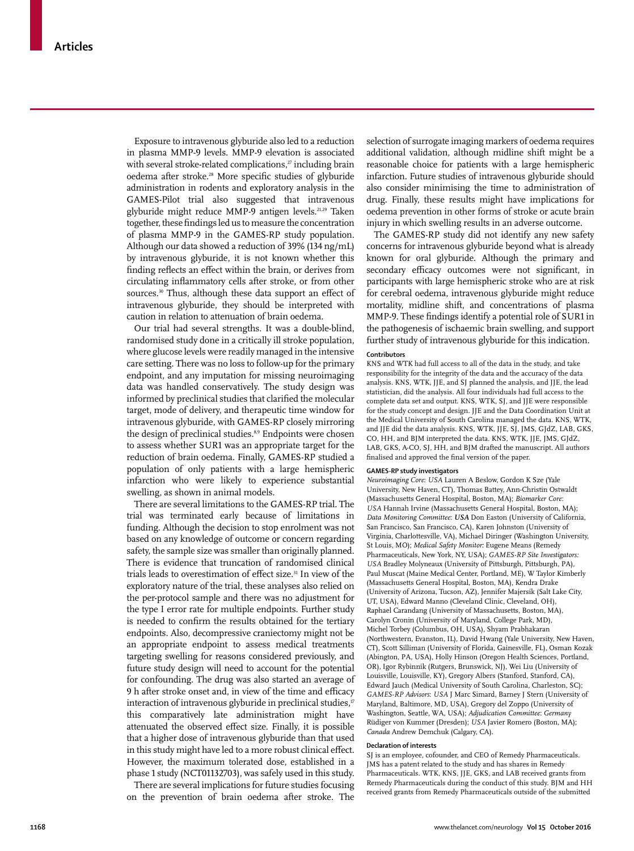Exposure to intravenous glyburide also led to a reduction in plasma MMP-9 levels. MMP-9 elevation is associated with several stroke-related complications, $z$ <sup>7</sup> including brain oedema after stroke.<sup>28</sup> More specific studies of glyburide administration in rodents and exploratory analysis in the GAMES-Pilot trial also suggested that intravenous glyburide might reduce MMP-9 antigen levels.<sup>21,29</sup> Taken together, these findings led us to measure the concentration of plasma MMP-9 in the GAMES-RP study population. Although our data showed a reduction of 39% (134 ng/mL) by intravenous glyburide, it is not known whether this finding reflects an effect within the brain, or derives from circulating inflammatory cells after stroke, or from other sources.<sup>30</sup> Thus, although these data support an effect of intravenous glyburide, they should be interpreted with caution in relation to attenuation of brain oedema.

Our trial had several strengths. It was a double-blind, randomised study done in a critically ill stroke population, where glucose levels were readily managed in the intensive care setting. There was no loss to follow-up for the primary endpoint, and any imputation for missing neuroimaging data was handled conservatively. The study design was informed by preclinical studies that clarified the molecular target, mode of delivery, and therapeutic time window for intravenous glyburide, with GAMES-RP closely mirroring the design of preclinical studies.<sup>8,9</sup> Endpoints were chosen to assess whether SUR1 was an appropriate target for the reduction of brain oedema. Finally, GAMES-RP studied a population of only patients with a large hemispheric infarction who were likely to experience substantial swelling, as shown in animal models.

There are several limitations to the GAMES-RP trial. The trial was terminated early because of limitations in funding. Although the decision to stop enrolment was not based on any knowledge of outcome or concern regarding safety, the sample size was smaller than originally planned. There is evidence that truncation of randomised clinical trials leads to overestimation of effect size.<sup>31</sup> In view of the exploratory nature of the trial, these analyses also relied on the per-protocol sample and there was no adjustment for the type I error rate for multiple endpoints. Further study is needed to confirm the results obtained for the tertiary endpoints. Also, decompressive craniectomy might not be an appropriate endpoint to assess medical treatments targeting swelling for reasons considered previously, and future study design will need to account for the potential for confounding. The drug was also started an average of 9 h after stroke onset and, in view of the time and efficacy interaction of intravenous glyburide in preclinical studies,<sup>17</sup> this comparatively late administration might have attenuated the observed effect size. Finally, it is possible that a higher dose of intravenous glyburide than that used in this study might have led to a more robust clinical effect. However, the maximum tolerated dose, established in a phase 1 study (NCT01132703), was safely used in this study.

There are several implications for future studies focusing on the prevention of brain oedema after stroke. The selection of surrogate imaging markers of oedema requires additional validation, although midline shift might be a reasonable choice for patients with a large hemispheric infarction. Future studies of intravenous glyburide should also consider minimising the time to administration of drug. Finally, these results might have implications for oedema prevention in other forms of stroke or acute brain injury in which swelling results in an adverse outcome.

The GAMES-RP study did not identify any new safety concerns for intravenous glyburide beyond what is already known for oral glyburide. Although the primary and secondary efficacy outcomes were not significant, in participants with large hemispheric stroke who are at risk for cerebral oedema, intravenous glyburide might reduce mortality, midline shift, and concentrations of plasma MMP-9. These findings identify a potential role of SUR1 in the pathogenesis of ischaemic brain swelling, and support further study of intravenous glyburide for this indication.

# **Contributors**

KNS and WTK had full access to all of the data in the study, and take responsibility for the integrity of the data and the accuracy of the data analysis. KNS, WTK, JJE, and SJ planned the analysis, and JJE, the lead statistician, did the analysis. All four individuals had full access to the complete data set and output. KNS, WTK, SJ, and JJE were responsible for the study concept and design. JJE and the Data Coordination Unit at the Medical University of South Carolina managed the data. KNS, WTK, and JJE did the data analysis. KNS, WTK, JJE, SJ, JMS, GJdZ, LAB, GKS, CO, HH, and BJM interpreted the data. KNS, WTK, JJE, JMS, GJdZ, LAB, GKS, A-CO, SJ, HH, and BJM drafted the manuscript. All authors finalised and approved the final version of the paper.

#### **GAMES-RP study investigators**

*Neuroimaging Core*: *USA* Lauren A Beslow, Gordon K Sze (Yale University, New Haven, CT), Thomas Battey, Ann-Christin Ostwaldt (Massachusetts General Hospital, Boston, MA); *Biomarker Core*: *USA* Hannah Irvine (Massachusetts General Hospital, Boston, MA); *Data Monitoring Committee*: *USA* Don Easton (University of California, San Francisco, San Francisco, CA), Karen Johnston (University of Virginia, Charlottesville, VA), Michael Diringer (Washington University, St Louis, MO); *Medical Safety Monitor:* Eugene Means (Remedy Pharmaceuticals, New York, NY, USA); *GAMES-RP Site Investigators: USA* Bradley Molyneaux (University of Pittsburgh, Pittsburgh, PA), Paul Muscat (Maine Medical Center, Portland, ME), W Taylor Kimberly (Massachusetts General Hospital, Boston, MA), Kendra Drake (University of Arizona, Tucson, AZ), Jennifer Majersik (Salt Lake City, UT, USA), Edward Manno (Cleveland Clinic, Cleveland, OH), Raphael Carandang (University of Massachusetts, Boston, MA), Carolyn Cronin (University of Maryland, College Park, MD), Michel Torbey (Columbus, OH, USA), Shyam Prabhakaran (Northwestern, Evanston, IL), David Hwang (Yale University, New Haven, CT), Scott Silliman (University of Florida, Gainesville, FL), Osman Kozak (Abington, PA, USA), Holly Hinson (Oregon Health Sciences, Portland, OR), Igor Rybinnik (Rutgers, Brunswick, NJ), Wei Liu (University of Louisville, Louisville, KY), Gregory Albers (Stanford, Stanford, CA), Edward Jauch (Medical University of South Carolina, Charleston, SC); *GAMES-RP Advisors*: *USA* J Marc Simard, Barney J Stern (University of Maryland, Baltimore, MD, USA), Gregory del Zoppo (University of Washington, Seattle, WA, USA); *Adjudication Committee*: *Germany* Rüdiger von Kummer (Dresden); *USA* Javier Romero (Boston, MA); *Canada* Andrew Demchuk (Calgary, CA).

#### **Declaration of interests**

SJ is an employee, cofounder, and CEO of Remedy Pharmaceuticals. JMS has a patent related to the study and has shares in Remedy Pharmaceuticals. WTK, KNS, JJE, GKS, and LAB received grants from Remedy Pharmaceuticals during the conduct of this study. BJM and HH received grants from Remedy Pharmaceuticals outside of the submitted